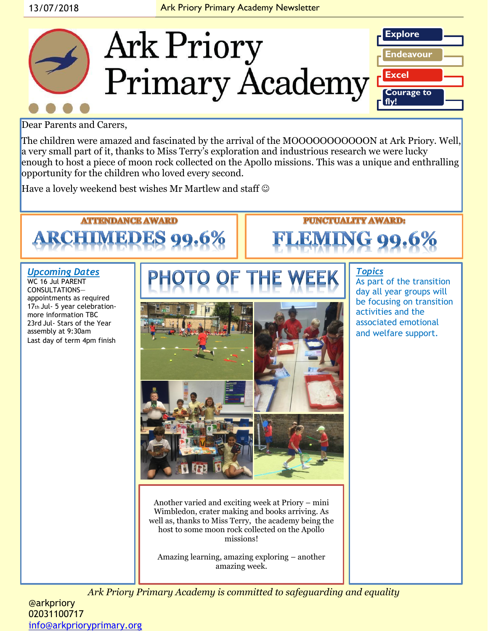

## Dear Parents and Carers,

The children were amazed and fascinated by the arrival of the MOOOOOOOOOOON at Ark Priory. Well, a very small part of it, thanks to Miss Terry's exploration and industrious research we were lucky enough to host a piece of moon rock collected on the Apollo missions. This was a unique and enthralling opportunity for the children who loved every second.

Have a lovely weekend best wishes Mr Martlew and staff  $\odot$ 

## **ATTENDANCE AWARD RCHIMEDES 99.6%**

## *Upcoming Dates*

WC 16 Jul PARENT CONSULTATIONS appointments as required 17th Jul- 5 year celebrationmore information TBC 23rd Jul- Stars of the Year assembly at 9:30am Last day of term 4pm finish



Another varied and exciting week at Priory – mini Wimbledon, crater making and books arriving. As well as, thanks to Miss Terry, the academy being the host to some moon rock collected on the Apollo missions!

Amazing learning, amazing exploring – another amazing week.

### *Topics* As part of the transition day all year groups will be focusing on transition activities and the associated emotional and welfare support.

**PUNCTUALITY AWARD:** 

*Ark Priory Primary Academy is committed to safeguarding and equality* 

@arkpriory 02031100717 [info@arkprioryprimary.org](mailto:info@arkprioryprimary.org)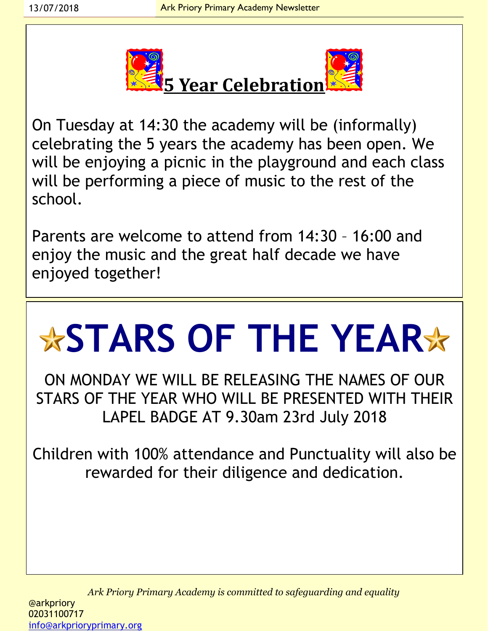

On Tuesday at 14:30 the academy will be (informally) celebrating the 5 years the academy has been open. We will be enjoying a picnic in the playground and each class will be performing a piece of music to the rest of the school.

Parents are welcome to attend from 14:30 – 16:00 and enjoy the music and the great half decade we have enjoyed together!

# **STARS OF THE YEAR**

ON MONDAY WE WILL BE RELEASING THE NAMES OF OUR STARS OF THE YEAR WHO WILL BE PRESENTED WITH THEIR LAPEL BADGE AT 9.30am 23rd July 2018

Children with 100% attendance and Punctuality will also be rewarded for their diligence and dedication.

*Ark Priory Primary Academy is committed to safeguarding and equality*  @arkpriory 02031100717 [info@arkprioryprimary.org](mailto:info@arkprioryprimary.org)